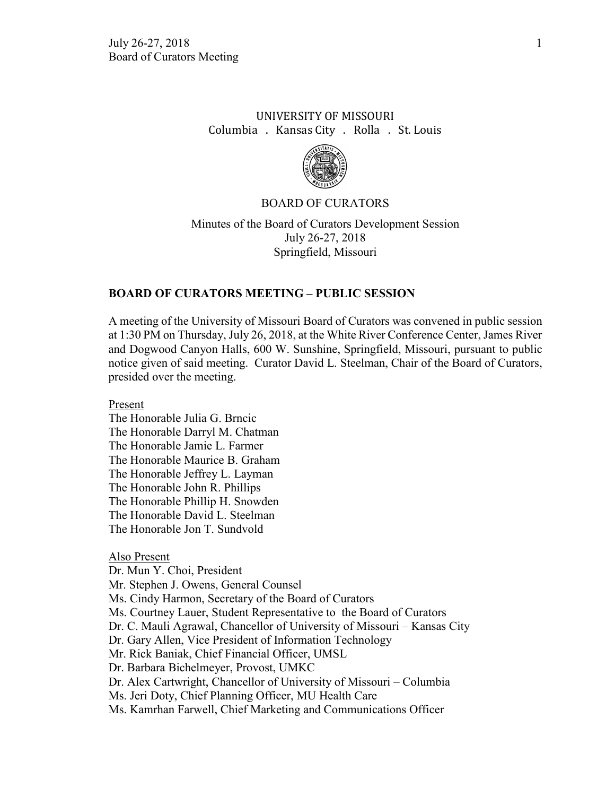# UNIVERSITY OF MISSOURI Columbia . Kansas City . Rolla . St. Louis



### BOARD OF CURATORS

Minutes of the Board of Curators Development Session July 26-27, 2018 Springfield, Missouri

## **BOARD OF CURATORS MEETING – PUBLIC SESSION**

A meeting of the University of Missouri Board of Curators was convened in public session at 1:30 PM on Thursday, July 26, 2018, at the White River Conference Center, James River and Dogwood Canyon Halls, 600 W. Sunshine, Springfield, Missouri, pursuant to public notice given of said meeting. Curator David L. Steelman, Chair of the Board of Curators, presided over the meeting.

Present

The Honorable Julia G. Brncic The Honorable Darryl M. Chatman The Honorable Jamie L. Farmer The Honorable Maurice B. Graham The Honorable Jeffrey L. Layman The Honorable John R. Phillips The Honorable Phillip H. Snowden The Honorable David L. Steelman The Honorable Jon T. Sundvold

#### Also Present

Dr. Mun Y. Choi, President Mr. Stephen J. Owens, General Counsel Ms. Cindy Harmon, Secretary of the Board of Curators Ms. Courtney Lauer, Student Representative to the Board of Curators Dr. C. Mauli Agrawal, Chancellor of University of Missouri – Kansas City Dr. Gary Allen, Vice President of Information Technology Mr. Rick Baniak, Chief Financial Officer, UMSL Dr. Barbara Bichelmeyer, Provost, UMKC Dr. Alex Cartwright, Chancellor of University of Missouri – Columbia Ms. Jeri Doty, Chief Planning Officer, MU Health Care Ms. Kamrhan Farwell, Chief Marketing and Communications Officer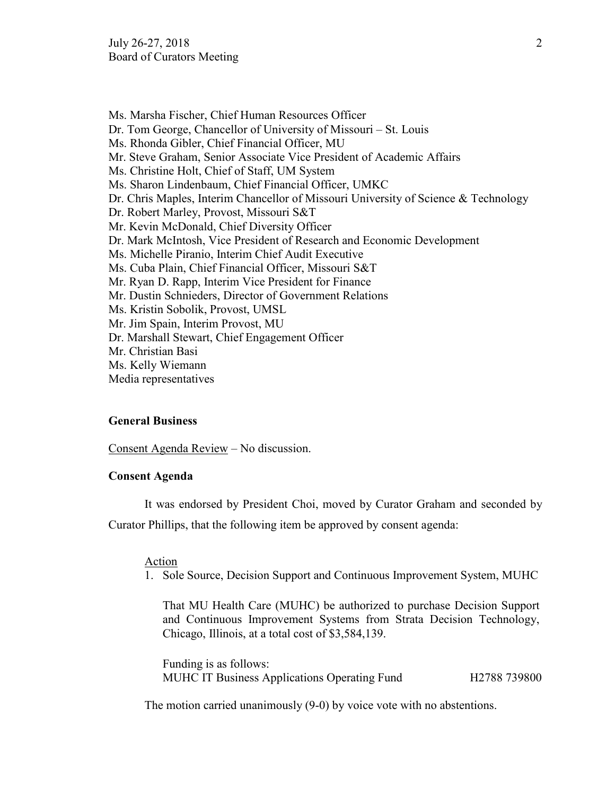Ms. Marsha Fischer, Chief Human Resources Officer Dr. Tom George, Chancellor of University of Missouri – St. Louis Ms. Rhonda Gibler, Chief Financial Officer, MU Mr. Steve Graham, Senior Associate Vice President of Academic Affairs Ms. Christine Holt, Chief of Staff, UM System Ms. Sharon Lindenbaum, Chief Financial Officer, UMKC Dr. Chris Maples, Interim Chancellor of Missouri University of Science & Technology Dr. Robert Marley, Provost, Missouri S&T Mr. Kevin McDonald, Chief Diversity Officer Dr. Mark McIntosh, Vice President of Research and Economic Development Ms. Michelle Piranio, Interim Chief Audit Executive Ms. Cuba Plain, Chief Financial Officer, Missouri S&T Mr. Ryan D. Rapp, Interim Vice President for Finance Mr. Dustin Schnieders, Director of Government Relations Ms. Kristin Sobolik, Provost, UMSL Mr. Jim Spain, Interim Provost, MU Dr. Marshall Stewart, Chief Engagement Officer Mr. Christian Basi Ms. Kelly Wiemann Media representatives

### **General Business**

Consent Agenda Review – No discussion.

## **Consent Agenda**

It was endorsed by President Choi, moved by Curator Graham and seconded by Curator Phillips, that the following item be approved by consent agenda:

### Action

1. Sole Source, Decision Support and Continuous Improvement System, MUHC

That MU Health Care (MUHC) be authorized to purchase Decision Support and Continuous Improvement Systems from Strata Decision Technology, Chicago, Illinois, at a total cost of \$3,584,139.

Funding is as follows: MUHC IT Business Applications Operating Fund H2788 739800

The motion carried unanimously (9-0) by voice vote with no abstentions.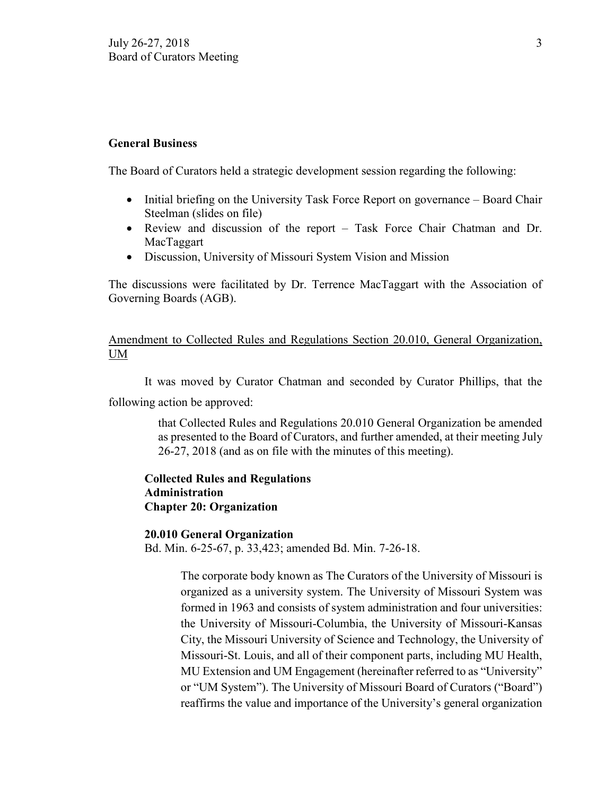### **General Business**

The Board of Curators held a strategic development session regarding the following:

- Initial briefing on the University Task Force Report on governance Board Chair Steelman (slides on file)
- Review and discussion of the report Task Force Chair Chatman and Dr. MacTaggart
- Discussion, University of Missouri System Vision and Mission

The discussions were facilitated by Dr. Terrence MacTaggart with the Association of Governing Boards (AGB).

# Amendment to Collected Rules and Regulations Section 20.010, General Organization, UM

It was moved by Curator Chatman and seconded by Curator Phillips, that the following action be approved:

> that Collected Rules and Regulations 20.010 General Organization be amended as presented to the Board of Curators, and further amended, at their meeting July 26-27, 2018 (and as on file with the minutes of this meeting).

# **Collected Rules and Regulations Administration Chapter 20: Organization**

### **20.010 General Organization**

Bd. Min. 6-25-67, p. 33,423; amended Bd. Min. 7-26-18.

The corporate body known as The Curators of the University of Missouri is organized as a university system. The University of Missouri System was formed in 1963 and consists of system administration and four universities: the University of Missouri-Columbia, the University of Missouri-Kansas City, the Missouri University of Science and Technology, the University of Missouri-St. Louis, and all of their component parts, including MU Health, MU Extension and UM Engagement (hereinafter referred to as "University" or "UM System"). The University of Missouri Board of Curators ("Board") reaffirms the value and importance of the University's general organization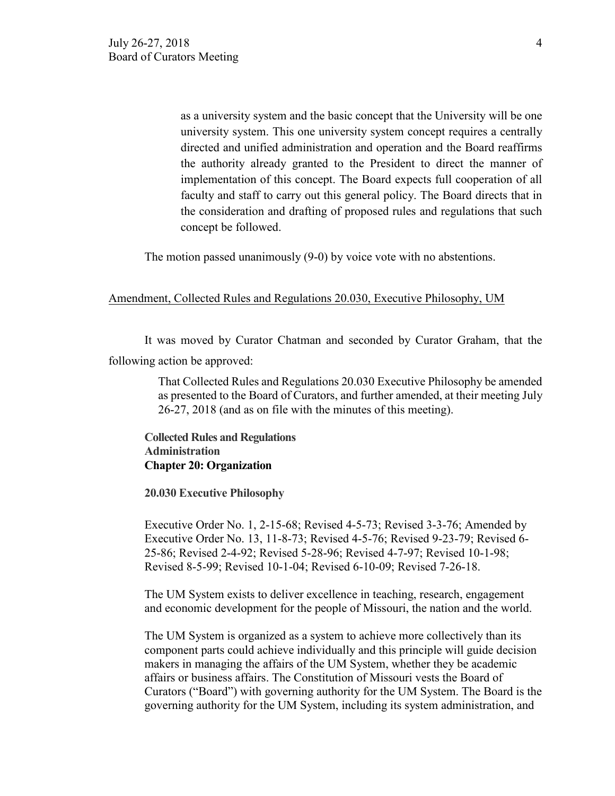as a university system and the basic concept that the University will be one university system. This one university system concept requires a centrally directed and unified administration and operation and the Board reaffirms the authority already granted to the President to direct the manner of implementation of this concept. The Board expects full cooperation of all faculty and staff to carry out this general policy. The Board directs that in the consideration and drafting of proposed rules and regulations that such concept be followed.

The motion passed unanimously (9-0) by voice vote with no abstentions.

### Amendment, Collected Rules and Regulations 20.030, Executive Philosophy, UM

It was moved by Curator Chatman and seconded by Curator Graham, that the following action be approved:

> That Collected Rules and Regulations 20.030 Executive Philosophy be amended as presented to the Board of Curators, and further amended, at their meeting July 26-27, 2018 (and as on file with the minutes of this meeting).

**Collected Rules and Regulations Administration Chapter 20: Organization**

**20.030 Executive Philosophy**

Executive Order No. 1, 2-15-68; Revised 4-5-73; Revised 3-3-76; Amended by Executive Order No. 13, 11-8-73; Revised 4-5-76; Revised 9-23-79; Revised 6- 25-86; Revised 2-4-92; Revised 5-28-96; Revised 4-7-97; Revised 10-1-98; Revised 8-5-99; Revised 10-1-04; Revised 6-10-09; Revised 7-26-18.

The UM System exists to deliver excellence in teaching, research, engagement and economic development for the people of Missouri, the nation and the world.

The UM System is organized as a system to achieve more collectively than its component parts could achieve individually and this principle will guide decision makers in managing the affairs of the UM System, whether they be academic affairs or business affairs. The Constitution of Missouri vests the Board of Curators ("Board") with governing authority for the UM System. The Board is the governing authority for the UM System, including its system administration, and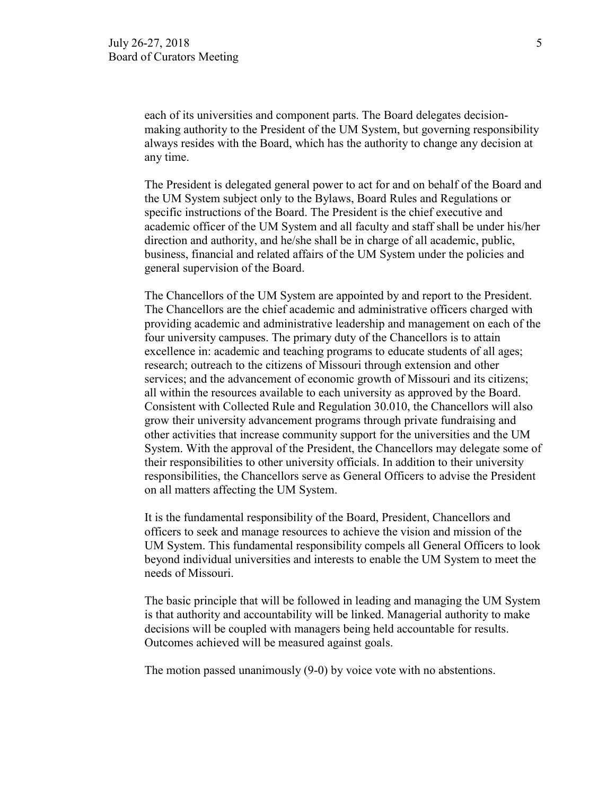each of its universities and component parts. The Board delegates decisionmaking authority to the President of the UM System, but governing responsibility always resides with the Board, which has the authority to change any decision at any time.

The President is delegated general power to act for and on behalf of the Board and the UM System subject only to the Bylaws, Board Rules and Regulations or specific instructions of the Board. The President is the chief executive and academic officer of the UM System and all faculty and staff shall be under his/her direction and authority, and he/she shall be in charge of all academic, public, business, financial and related affairs of the UM System under the policies and general supervision of the Board.

The Chancellors of the UM System are appointed by and report to the President. The Chancellors are the chief academic and administrative officers charged with providing academic and administrative leadership and management on each of the four university campuses. The primary duty of the Chancellors is to attain excellence in: academic and teaching programs to educate students of all ages; research; outreach to the citizens of Missouri through extension and other services; and the advancement of economic growth of Missouri and its citizens; all within the resources available to each university as approved by the Board. Consistent with Collected Rule and Regulation 30.010, the Chancellors will also grow their university advancement programs through private fundraising and other activities that increase community support for the universities and the UM System. With the approval of the President, the Chancellors may delegate some of their responsibilities to other university officials. In addition to their university responsibilities, the Chancellors serve as General Officers to advise the President on all matters affecting the UM System.

It is the fundamental responsibility of the Board, President, Chancellors and officers to seek and manage resources to achieve the vision and mission of the UM System. This fundamental responsibility compels all General Officers to look beyond individual universities and interests to enable the UM System to meet the needs of Missouri.

The basic principle that will be followed in leading and managing the UM System is that authority and accountability will be linked. Managerial authority to make decisions will be coupled with managers being held accountable for results. Outcomes achieved will be measured against goals.

The motion passed unanimously (9-0) by voice vote with no abstentions.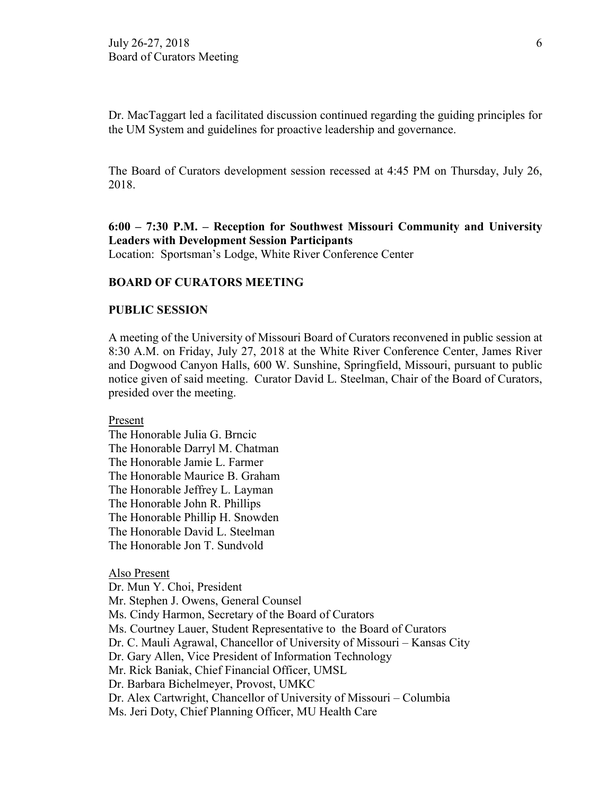Dr. MacTaggart led a facilitated discussion continued regarding the guiding principles for the UM System and guidelines for proactive leadership and governance.

The Board of Curators development session recessed at 4:45 PM on Thursday, July 26, 2018.

# **6:00 – 7:30 P.M. – Reception for Southwest Missouri Community and University Leaders with Development Session Participants**

Location: Sportsman's Lodge, White River Conference Center

## **BOARD OF CURATORS MEETING**

## **PUBLIC SESSION**

A meeting of the University of Missouri Board of Curators reconvened in public session at 8:30 A.M. on Friday, July 27, 2018 at the White River Conference Center, James River and Dogwood Canyon Halls, 600 W. Sunshine, Springfield, Missouri, pursuant to public notice given of said meeting. Curator David L. Steelman, Chair of the Board of Curators, presided over the meeting.

Present

The Honorable Julia G. Brncic The Honorable Darryl M. Chatman The Honorable Jamie L. Farmer The Honorable Maurice B. Graham The Honorable Jeffrey L. Layman The Honorable John R. Phillips The Honorable Phillip H. Snowden The Honorable David L. Steelman The Honorable Jon T. Sundvold

#### Also Present

Dr. Mun Y. Choi, President Mr. Stephen J. Owens, General Counsel Ms. Cindy Harmon, Secretary of the Board of Curators Ms. Courtney Lauer, Student Representative to the Board of Curators Dr. C. Mauli Agrawal, Chancellor of University of Missouri – Kansas City Dr. Gary Allen, Vice President of Information Technology Mr. Rick Baniak, Chief Financial Officer, UMSL Dr. Barbara Bichelmeyer, Provost, UMKC Dr. Alex Cartwright, Chancellor of University of Missouri – Columbia Ms. Jeri Doty, Chief Planning Officer, MU Health Care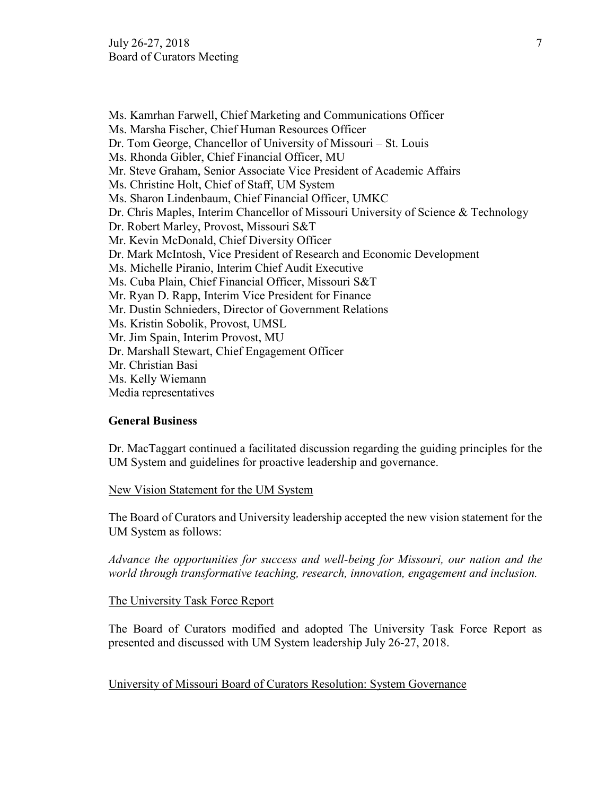Ms. Kamrhan Farwell, Chief Marketing and Communications Officer Ms. Marsha Fischer, Chief Human Resources Officer Dr. Tom George, Chancellor of University of Missouri – St. Louis Ms. Rhonda Gibler, Chief Financial Officer, MU Mr. Steve Graham, Senior Associate Vice President of Academic Affairs Ms. Christine Holt, Chief of Staff, UM System Ms. Sharon Lindenbaum, Chief Financial Officer, UMKC Dr. Chris Maples, Interim Chancellor of Missouri University of Science & Technology Dr. Robert Marley, Provost, Missouri S&T Mr. Kevin McDonald, Chief Diversity Officer Dr. Mark McIntosh, Vice President of Research and Economic Development Ms. Michelle Piranio, Interim Chief Audit Executive Ms. Cuba Plain, Chief Financial Officer, Missouri S&T Mr. Ryan D. Rapp, Interim Vice President for Finance Mr. Dustin Schnieders, Director of Government Relations Ms. Kristin Sobolik, Provost, UMSL Mr. Jim Spain, Interim Provost, MU Dr. Marshall Stewart, Chief Engagement Officer Mr. Christian Basi Ms. Kelly Wiemann Media representatives

## **General Business**

Dr. MacTaggart continued a facilitated discussion regarding the guiding principles for the UM System and guidelines for proactive leadership and governance.

## New Vision Statement for the UM System

The Board of Curators and University leadership accepted the new vision statement for the UM System as follows:

*Advance the opportunities for success and well-being for Missouri, our nation and the world through transformative teaching, research, innovation, engagement and inclusion.*

## The University Task Force Report

The Board of Curators modified and adopted The University Task Force Report as presented and discussed with UM System leadership July 26-27, 2018.

## University of Missouri Board of Curators Resolution: System Governance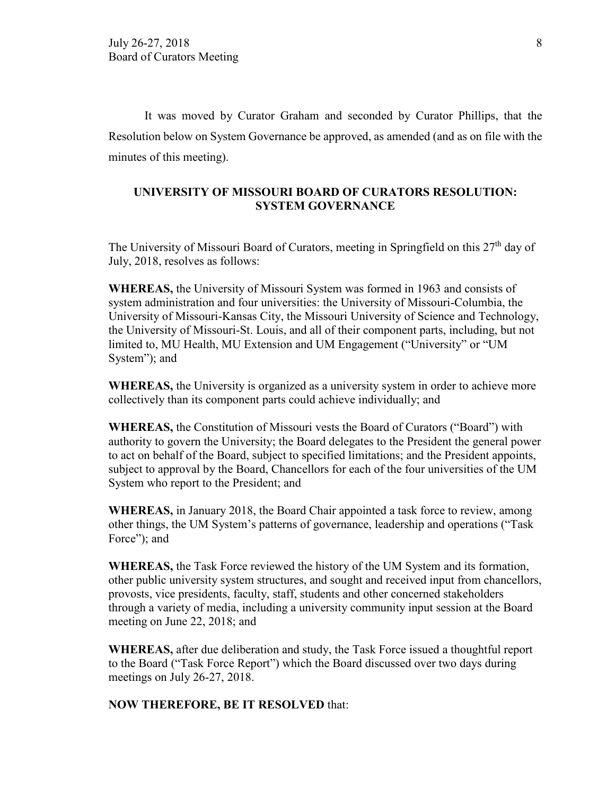It was moved by Curator Graham and seconded by Curator Phillips, that the Resolution below on System Governance be approved, as amended (and as on file with the minutes of this meeting).

## **UNIVERSITY OF MISSOURI BOARD OF CURATORS RESOLUTION: SYSTEM GOVERNANCE**

The University of Missouri Board of Curators, meeting in Springfield on this 27<sup>th</sup> day of July, 2018, resolves as follows:

**WHEREAS,** the University of Missouri System was formed in 1963 and consists of system administration and four universities: the University of Missouri-Columbia, the University of Missouri-Kansas City, the Missouri University of Science and Technology, the University of Missouri-St. Louis, and all of their component parts, including, but not limited to, MU Health, MU Extension and UM Engagement ("University" or "UM System"); and

**WHEREAS,** the University is organized as a university system in order to achieve more collectively than its component parts could achieve individually; and

**WHEREAS,** the Constitution of Missouri vests the Board of Curators ("Board") with authority to govern the University; the Board delegates to the President the general power to act on behalf of the Board, subject to specified limitations; and the President appoints, subject to approval by the Board, Chancellors for each of the four universities of the UM System who report to the President; and

**WHEREAS,** in January 2018, the Board Chair appointed a task force to review, among other things, the UM System's patterns of governance, leadership and operations ("Task Force"); and

**WHEREAS,** the Task Force reviewed the history of the UM System and its formation, other public university system structures, and sought and received input from chancellors, provosts, vice presidents, faculty, staff, students and other concerned stakeholders through a variety of media, including a university community input session at the Board meeting on June 22, 2018; and

**WHEREAS,** after due deliberation and study, the Task Force issued a thoughtful report to the Board ("Task Force Report") which the Board discussed over two days during meetings on July 26-27, 2018.

## **NOW THEREFORE, BE IT RESOLVED** that: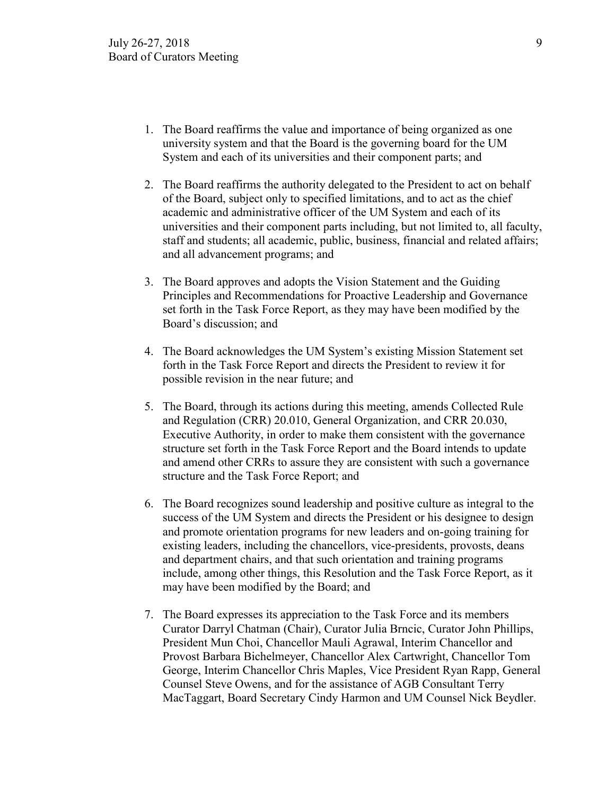- 1. The Board reaffirms the value and importance of being organized as one university system and that the Board is the governing board for the UM System and each of its universities and their component parts; and
- 2. The Board reaffirms the authority delegated to the President to act on behalf of the Board, subject only to specified limitations, and to act as the chief academic and administrative officer of the UM System and each of its universities and their component parts including, but not limited to, all faculty, staff and students; all academic, public, business, financial and related affairs; and all advancement programs; and
- 3. The Board approves and adopts the Vision Statement and the Guiding Principles and Recommendations for Proactive Leadership and Governance set forth in the Task Force Report, as they may have been modified by the Board's discussion; and
- 4. The Board acknowledges the UM System's existing Mission Statement set forth in the Task Force Report and directs the President to review it for possible revision in the near future; and
- 5. The Board, through its actions during this meeting, amends Collected Rule and Regulation (CRR) 20.010, General Organization, and CRR 20.030, Executive Authority, in order to make them consistent with the governance structure set forth in the Task Force Report and the Board intends to update and amend other CRRs to assure they are consistent with such a governance structure and the Task Force Report; and
- 6. The Board recognizes sound leadership and positive culture as integral to the success of the UM System and directs the President or his designee to design and promote orientation programs for new leaders and on-going training for existing leaders, including the chancellors, vice-presidents, provosts, deans and department chairs, and that such orientation and training programs include, among other things, this Resolution and the Task Force Report, as it may have been modified by the Board; and
- 7. The Board expresses its appreciation to the Task Force and its members Curator Darryl Chatman (Chair), Curator Julia Brncic, Curator John Phillips, President Mun Choi, Chancellor Mauli Agrawal, Interim Chancellor and Provost Barbara Bichelmeyer, Chancellor Alex Cartwright, Chancellor Tom George, Interim Chancellor Chris Maples, Vice President Ryan Rapp, General Counsel Steve Owens, and for the assistance of AGB Consultant Terry MacTaggart, Board Secretary Cindy Harmon and UM Counsel Nick Beydler.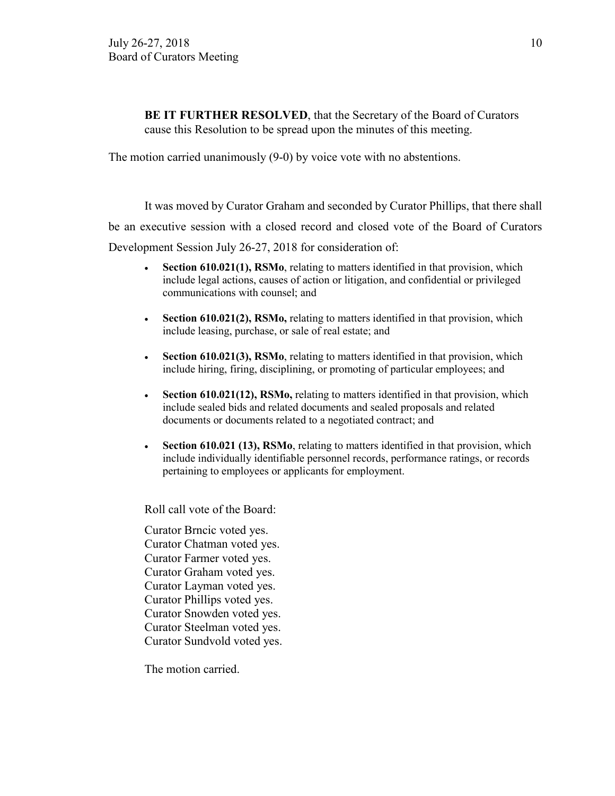**BE IT FURTHER RESOLVED**, that the Secretary of the Board of Curators cause this Resolution to be spread upon the minutes of this meeting.

The motion carried unanimously (9-0) by voice vote with no abstentions.

It was moved by Curator Graham and seconded by Curator Phillips, that there shall be an executive session with a closed record and closed vote of the Board of Curators Development Session July 26-27, 2018 for consideration of:

- **Section 610.021(1), RSMo**, relating to matters identified in that provision, which include legal actions, causes of action or litigation, and confidential or privileged communications with counsel; and
- **Section 610.021(2), RSMo,** relating to matters identified in that provision, which include leasing, purchase, or sale of real estate; and
- **Section 610.021(3), RSMo**, relating to matters identified in that provision, which include hiring, firing, disciplining, or promoting of particular employees; and
- **Section 610.021(12), RSMo,** relating to matters identified in that provision, which include sealed bids and related documents and sealed proposals and related documents or documents related to a negotiated contract; and
- **Section 610.021 (13), RSMo**, relating to matters identified in that provision, which include individually identifiable personnel records, performance ratings, or records pertaining to employees or applicants for employment.

Roll call vote of the Board:

Curator Brncic voted yes. Curator Chatman voted yes. Curator Farmer voted yes. Curator Graham voted yes. Curator Layman voted yes. Curator Phillips voted yes. Curator Snowden voted yes. Curator Steelman voted yes. Curator Sundvold voted yes.

The motion carried.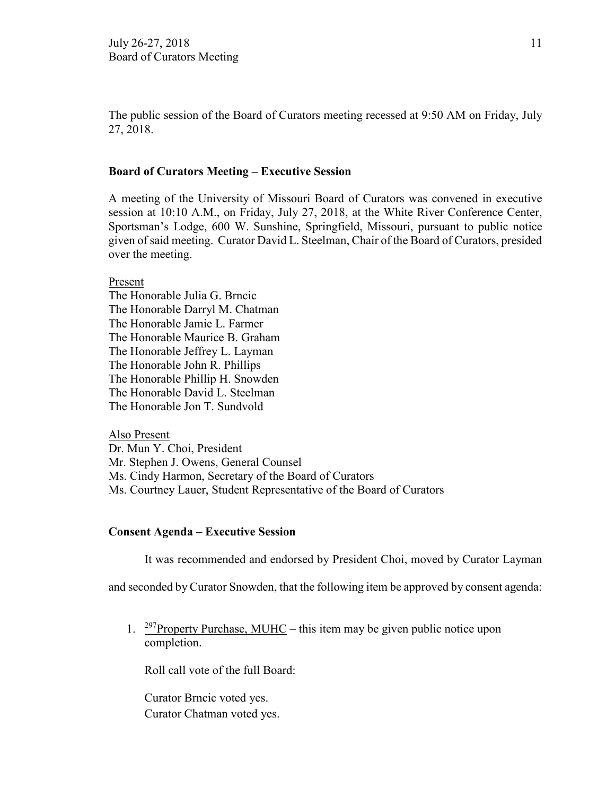The public session of the Board of Curators meeting recessed at 9:50 AM on Friday, July 27, 2018.

## **Board of Curators Meeting – Executive Session**

A meeting of the University of Missouri Board of Curators was convened in executive session at 10:10 A.M., on Friday, July 27, 2018, at the White River Conference Center, Sportsman's Lodge, 600 W. Sunshine, Springfield, Missouri, pursuant to public notice given of said meeting. Curator David L. Steelman, Chair of the Board of Curators, presided over the meeting.

Present

The Honorable Julia G. Brncic The Honorable Darryl M. Chatman The Honorable Jamie L. Farmer The Honorable Maurice B. Graham The Honorable Jeffrey L. Layman The Honorable John R. Phillips The Honorable Phillip H. Snowden The Honorable David L. Steelman The Honorable Jon T. Sundvold

Also Present Dr. Mun Y. Choi, President Mr. Stephen J. Owens, General Counsel Ms. Cindy Harmon, Secretary of the Board of Curators Ms. Courtney Lauer, Student Representative of the Board of Curators

### **Consent Agenda – Executive Session**

It was recommended and endorsed by President Choi, moved by Curator Layman

and seconded by Curator Snowden, that the following item be approved by consent agenda:

1. <sup>297</sup>Property Purchase, MUHC – this item may be given public notice upon completion.

Roll call vote of the full Board:

Curator Brncic voted yes. Curator Chatman voted yes.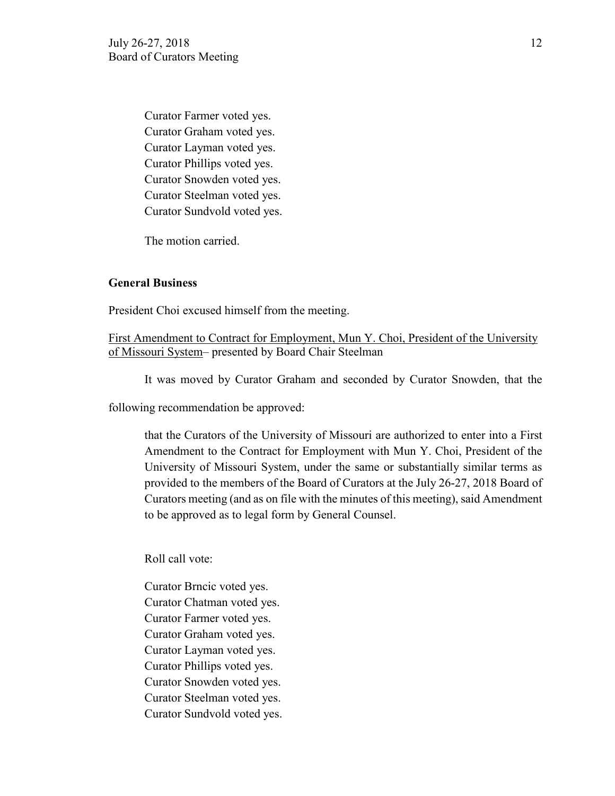Curator Farmer voted yes. Curator Graham voted yes. Curator Layman voted yes. Curator Phillips voted yes. Curator Snowden voted yes. Curator Steelman voted yes. Curator Sundvold voted yes.

The motion carried.

## **General Business**

President Choi excused himself from the meeting.

First Amendment to Contract for Employment, Mun Y. Choi, President of the University of Missouri System– presented by Board Chair Steelman

It was moved by Curator Graham and seconded by Curator Snowden, that the

following recommendation be approved:

that the Curators of the University of Missouri are authorized to enter into a First Amendment to the Contract for Employment with Mun Y. Choi, President of the University of Missouri System, under the same or substantially similar terms as provided to the members of the Board of Curators at the July 26-27, 2018 Board of Curators meeting (and as on file with the minutes of this meeting), said Amendment to be approved as to legal form by General Counsel.

Roll call vote:

Curator Brncic voted yes. Curator Chatman voted yes. Curator Farmer voted yes. Curator Graham voted yes. Curator Layman voted yes. Curator Phillips voted yes. Curator Snowden voted yes. Curator Steelman voted yes. Curator Sundvold voted yes.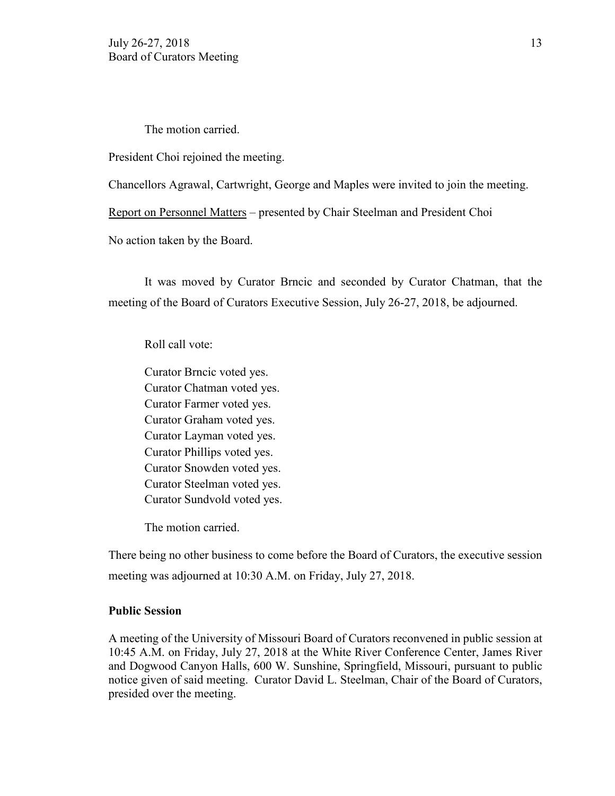The motion carried.

President Choi rejoined the meeting.

Chancellors Agrawal, Cartwright, George and Maples were invited to join the meeting.

Report on Personnel Matters – presented by Chair Steelman and President Choi

No action taken by the Board.

It was moved by Curator Brncic and seconded by Curator Chatman, that the meeting of the Board of Curators Executive Session, July 26-27, 2018, be adjourned.

Roll call vote:

Curator Brncic voted yes. Curator Chatman voted yes. Curator Farmer voted yes. Curator Graham voted yes. Curator Layman voted yes. Curator Phillips voted yes. Curator Snowden voted yes. Curator Steelman voted yes. Curator Sundvold voted yes.

The motion carried.

There being no other business to come before the Board of Curators, the executive session meeting was adjourned at 10:30 A.M. on Friday, July 27, 2018.

## **Public Session**

A meeting of the University of Missouri Board of Curators reconvened in public session at 10:45 A.M. on Friday, July 27, 2018 at the White River Conference Center, James River and Dogwood Canyon Halls, 600 W. Sunshine, Springfield, Missouri, pursuant to public notice given of said meeting. Curator David L. Steelman, Chair of the Board of Curators, presided over the meeting.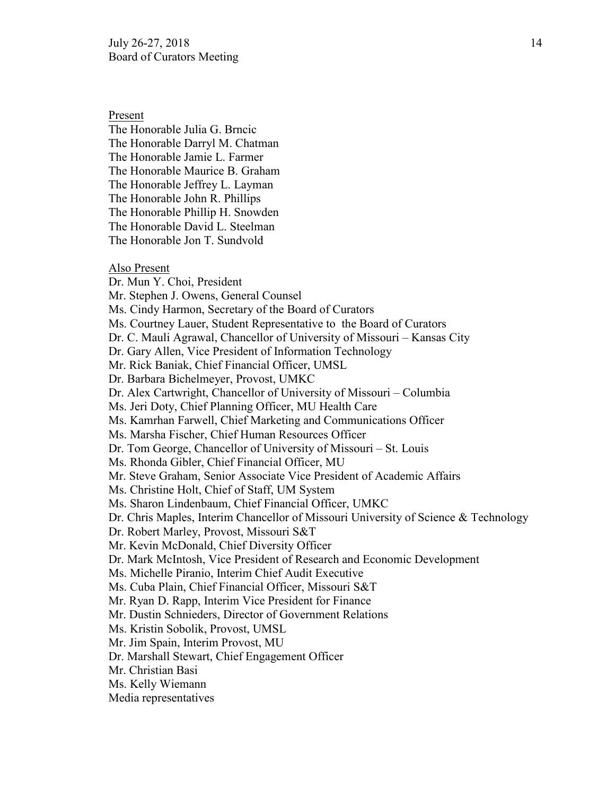Present

The Honorable Julia G. Brncic The Honorable Darryl M. Chatman The Honorable Jamie L. Farmer The Honorable Maurice B. Graham The Honorable Jeffrey L. Layman The Honorable John R. Phillips The Honorable Phillip H. Snowden The Honorable David L. Steelman The Honorable Jon T. Sundvold

### Also Present

Dr. Mun Y. Choi, President Mr. Stephen J. Owens, General Counsel Ms. Cindy Harmon, Secretary of the Board of Curators Ms. Courtney Lauer, Student Representative to the Board of Curators Dr. C. Mauli Agrawal, Chancellor of University of Missouri – Kansas City Dr. Gary Allen, Vice President of Information Technology Mr. Rick Baniak, Chief Financial Officer, UMSL Dr. Barbara Bichelmeyer, Provost, UMKC Dr. Alex Cartwright, Chancellor of University of Missouri – Columbia Ms. Jeri Doty, Chief Planning Officer, MU Health Care Ms. Kamrhan Farwell, Chief Marketing and Communications Officer Ms. Marsha Fischer, Chief Human Resources Officer Dr. Tom George, Chancellor of University of Missouri – St. Louis Ms. Rhonda Gibler, Chief Financial Officer, MU Mr. Steve Graham, Senior Associate Vice President of Academic Affairs Ms. Christine Holt, Chief of Staff, UM System Ms. Sharon Lindenbaum, Chief Financial Officer, UMKC Dr. Chris Maples, Interim Chancellor of Missouri University of Science & Technology Dr. Robert Marley, Provost, Missouri S&T Mr. Kevin McDonald, Chief Diversity Officer Dr. Mark McIntosh, Vice President of Research and Economic Development Ms. Michelle Piranio, Interim Chief Audit Executive Ms. Cuba Plain, Chief Financial Officer, Missouri S&T Mr. Ryan D. Rapp, Interim Vice President for Finance Mr. Dustin Schnieders, Director of Government Relations Ms. Kristin Sobolik, Provost, UMSL Mr. Jim Spain, Interim Provost, MU Dr. Marshall Stewart, Chief Engagement Officer Mr. Christian Basi Ms. Kelly Wiemann Media representatives